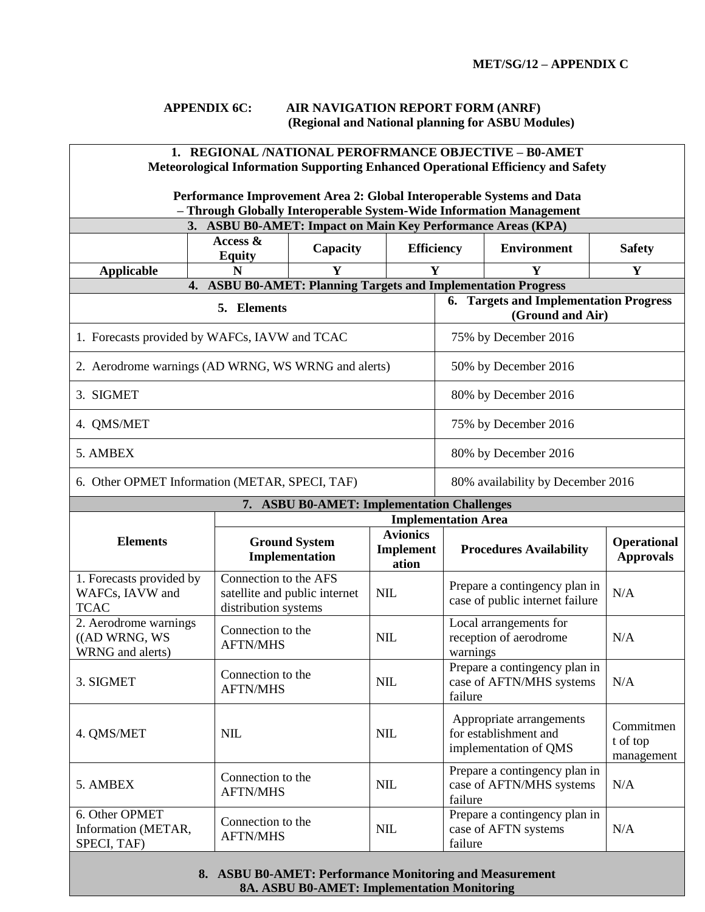## **APPENDIX 6C: AIR NAVIGATION REPORT FORM (ANRF) (Regional and National planning for ASBU Modules)**

| 1. REGIONAL /NATIONAL PEROFRMANCE OBJECTIVE - B0-AMET<br><b>Meteorological Information Supporting Enhanced Operational Efficiency and Safety</b> |                                               |                                               |                    |                                                                            |                                                           |                                        |  |  |
|--------------------------------------------------------------------------------------------------------------------------------------------------|-----------------------------------------------|-----------------------------------------------|--------------------|----------------------------------------------------------------------------|-----------------------------------------------------------|----------------------------------------|--|--|
| Performance Improvement Area 2: Global Interoperable Systems and Data<br>- Through Globally Interoperable System-Wide Information Management     |                                               |                                               |                    |                                                                            |                                                           |                                        |  |  |
| 3. ASBU B0-AMET: Impact on Main Key Performance Areas (KPA)                                                                                      |                                               |                                               |                    |                                                                            |                                                           |                                        |  |  |
|                                                                                                                                                  | Access &<br><b>Equity</b>                     | Capacity                                      | <b>Efficiency</b>  |                                                                            | <b>Environment</b>                                        | <b>Safety</b>                          |  |  |
| <b>Applicable</b>                                                                                                                                | N                                             | Y                                             | Y                  |                                                                            | Y                                                         | $\mathbf Y$                            |  |  |
| <b>ASBU B0-AMET: Planning Targets and Implementation Progress</b><br>4.<br>5. Elements                                                           |                                               |                                               |                    | 6. Targets and Implementation Progress<br>(Ground and Air)                 |                                                           |                                        |  |  |
| 1. Forecasts provided by WAFCs, IAVW and TCAC                                                                                                    |                                               |                                               |                    | 75% by December 2016                                                       |                                                           |                                        |  |  |
| 2. Aerodrome warnings (AD WRNG, WS WRNG and alerts)                                                                                              |                                               |                                               |                    | 50% by December 2016                                                       |                                                           |                                        |  |  |
| 3. SIGMET                                                                                                                                        |                                               |                                               |                    | 80% by December 2016                                                       |                                                           |                                        |  |  |
| 4. QMS/MET                                                                                                                                       |                                               |                                               |                    | 75% by December 2016                                                       |                                                           |                                        |  |  |
| 5. AMBEX                                                                                                                                         |                                               |                                               |                    | 80% by December 2016                                                       |                                                           |                                        |  |  |
| 6. Other OPMET Information (METAR, SPECI, TAF)                                                                                                   |                                               |                                               |                    | 80% availability by December 2016                                          |                                                           |                                        |  |  |
|                                                                                                                                                  |                                               | 7. ASBU B0-AMET: Implementation Challenges    |                    |                                                                            |                                                           |                                        |  |  |
|                                                                                                                                                  |                                               | <b>Implementation Area</b><br><b>Avionics</b> |                    |                                                                            |                                                           |                                        |  |  |
| <b>Elements</b>                                                                                                                                  |                                               | <b>Ground System</b><br>Implementation        | Implement<br>ation |                                                                            | <b>Procedures Availability</b>                            | <b>Operational</b><br><b>Approvals</b> |  |  |
| 1. Forecasts provided by<br>WAFCs, IAVW and<br><b>TCAC</b>                                                                                       | Connection to the AFS<br>distribution systems | satellite and public internet                 | <b>NIL</b>         | Prepare a contingency plan in<br>case of public internet failure           |                                                           | N/A                                    |  |  |
| 2. Aerodrome warnings<br>((AD WRNG, WS)<br>WRNG and alerts)                                                                                      | Connection to the<br><b>AFTN/MHS</b>          |                                               | <b>NIL</b>         | Local arrangements for<br>reception of aerodrome<br>warnings               |                                                           | N/A                                    |  |  |
| 3. SIGMET                                                                                                                                        | <b>AFTN/MHS</b>                               | Connection to the                             |                    | Prepare a contingency plan in<br>case of AFTN/MHS systems<br>failure       |                                                           | N/A                                    |  |  |
| 4. QMS/MET                                                                                                                                       | <b>NIL</b>                                    |                                               | <b>NIL</b>         | Appropriate arrangements<br>for establishment and<br>implementation of QMS |                                                           | Commitmen<br>t of top<br>management    |  |  |
| 5. AMBEX                                                                                                                                         | <b>AFTN/MHS</b>                               | Connection to the<br><b>NIL</b>               |                    | failure                                                                    | Prepare a contingency plan in<br>case of AFTN/MHS systems | N/A                                    |  |  |
| 6. Other OPMET<br>Information (METAR,<br>SPECI, TAF)                                                                                             | <b>AFTN/MHS</b>                               | Connection to the<br><b>NIL</b>               |                    | Prepare a contingency plan in<br>case of AFTN systems<br>failure           |                                                           | N/A                                    |  |  |
| 8. ASBU B0-AMET: Performance Monitoring and Measurement                                                                                          |                                               |                                               |                    |                                                                            |                                                           |                                        |  |  |

**8A. ASBU B0-AMET: Implementation Monitoring**